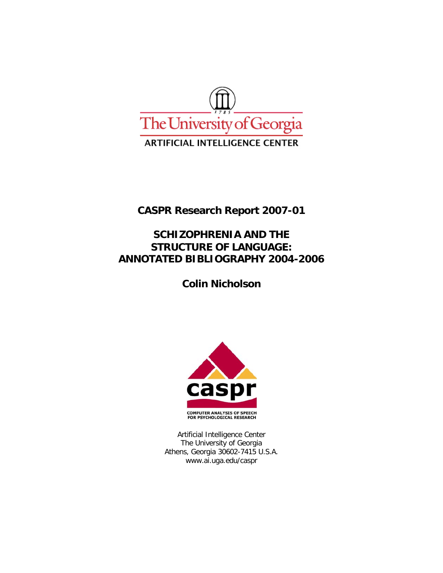

**CASPR Research Report 2007-01** 

# **SCHIZOPHRENIA AND THE STRUCTURE OF LANGUAGE: ANNOTATED BIBLIOGRAPHY 2004-2006**

**Colin Nicholson** 



Artificial Intelligence Center The University of Georgia Athens, Georgia 30602-7415 U.S.A. www.ai.uga.edu/caspr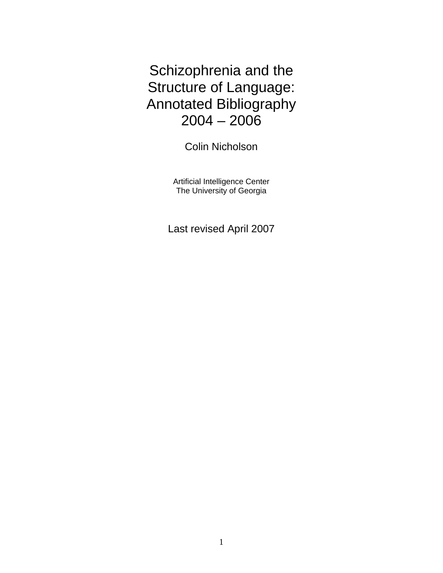Schizophrenia and the Structure of Language: Annotated Bibliography 2004 – 2006

Colin Nicholson

Artificial Intelligence Center The University of Georgia

Last revised April 2007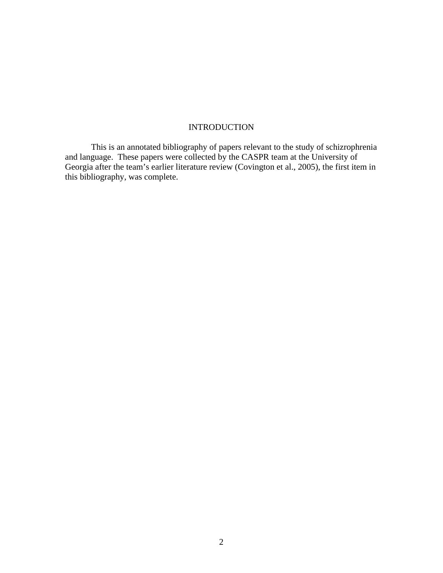# **INTRODUCTION**

 This is an annotated bibliography of papers relevant to the study of schizrophrenia and language. These papers were collected by the CASPR team at the University of Georgia after the team's earlier literature review (Covington et al., 2005), the first item in this bibliography, was complete.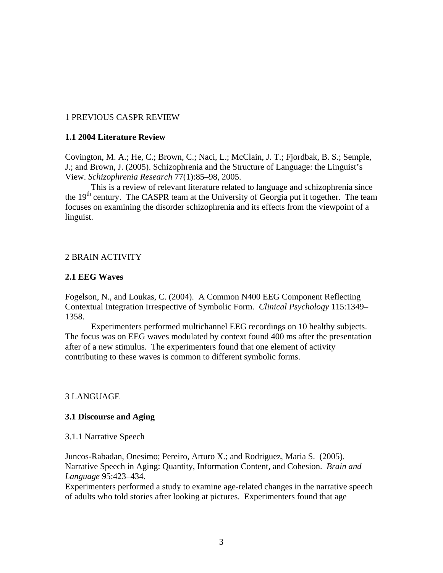# 1 PREVIOUS CASPR REVIEW

# **1.1 2004 Literature Review**

Covington, M. A.; He, C.; Brown, C.; Naci, L.; McClain, J. T.; Fjordbak, B. S.; Semple, J.; and Brown, J. (2005). Schizophrenia and the Structure of Language: the Linguist's View. *Schizophrenia Research* 77(1):85–98, 2005.

 This is a review of relevant literature related to language and schizophrenia since the 19<sup>th</sup> century. The CASPR team at the University of Georgia put it together. The team focuses on examining the disorder schizophrenia and its effects from the viewpoint of a linguist.

# 2 BRAIN ACTIVITY

# **2.1 EEG Waves**

Fogelson, N., and Loukas, C. (2004). A Common N400 EEG Component Reflecting Contextual Integration Irrespective of Symbolic Form. *Clinical Psychology* 115:1349– 1358.

Experimenters performed multichannel EEG recordings on 10 healthy subjects. The focus was on EEG waves modulated by context found 400 ms after the presentation after of a new stimulus. The experimenters found that one element of activity contributing to these waves is common to different symbolic forms.

# 3 LANGUAGE

# **3.1 Discourse and Aging**

# 3.1.1 Narrative Speech

Juncos-Rabadan, Onesimo; Pereiro, Arturo X.; and Rodriguez, Maria S. (2005). Narrative Speech in Aging: Quantity, Information Content, and Cohesion. *Brain and Language* 95:423–434.

Experimenters performed a study to examine age-related changes in the narrative speech of adults who told stories after looking at pictures. Experimenters found that age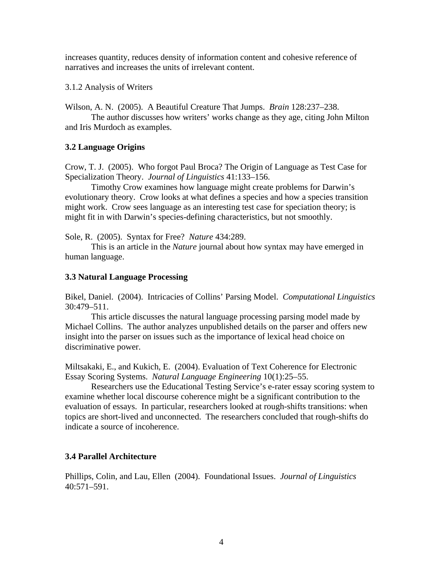increases quantity, reduces density of information content and cohesive reference of narratives and increases the units of irrelevant content.

3.1.2 Analysis of Writers

Wilson, A. N. (2005). A Beautiful Creature That Jumps. *Brain* 128:237–238.

The author discusses how writers' works change as they age, citing John Milton and Iris Murdoch as examples.

# **3.2 Language Origins**

Crow, T. J. (2005). Who forgot Paul Broca? The Origin of Language as Test Case for Specialization Theory. *Journal of Linguistics* 41:133–156.

Timothy Crow examines how language might create problems for Darwin's evolutionary theory. Crow looks at what defines a species and how a species transition might work. Crow sees language as an interesting test case for speciation theory; is might fit in with Darwin's species-defining characteristics, but not smoothly.

Sole, R. (2005). Syntax for Free? *Nature* 434:289.

This is an article in the *Nature* journal about how syntax may have emerged in human language.

# **3.3 Natural Language Processing**

Bikel, Daniel. (2004). Intricacies of Collins' Parsing Model. *Computational Linguistics* 30:479–511.

This article discusses the natural language processing parsing model made by Michael Collins. The author analyzes unpublished details on the parser and offers new insight into the parser on issues such as the importance of lexical head choice on discriminative power.

Miltsakaki, E., and Kukich, E. (2004). Evaluation of Text Coherence for Electronic Essay Scoring Systems. *Natural Language Engineering* 10(1):25–55.

Researchers use the Educational Testing Service's e-rater essay scoring system to examine whether local discourse coherence might be a significant contribution to the evaluation of essays. In particular, researchers looked at rough-shifts transitions: when topics are short-lived and unconnected. The researchers concluded that rough-shifts do indicate a source of incoherence.

# **3.4 Parallel Architecture**

Phillips, Colin, and Lau, Ellen (2004). Foundational Issues. *Journal of Linguistics* 40:571–591.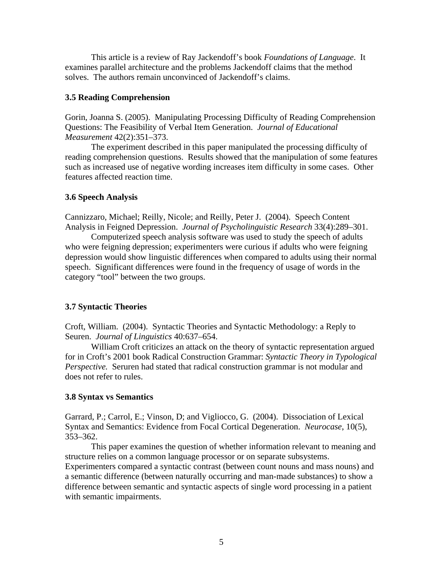This article is a review of Ray Jackendoff's book *Foundations of Language*. It examines parallel architecture and the problems Jackendoff claims that the method solves. The authors remain unconvinced of Jackendoff's claims.

#### **3.5 Reading Comprehension**

Gorin, Joanna S. (2005). Manipulating Processing Difficulty of Reading Comprehension Questions: The Feasibility of Verbal Item Generation. *Journal of Educational Measurement* 42(2):351–373.

The experiment described in this paper manipulated the processing difficulty of reading comprehension questions. Results showed that the manipulation of some features such as increased use of negative wording increases item difficulty in some cases. Other features affected reaction time.

#### **3.6 Speech Analysis**

Cannizzaro, Michael; Reilly, Nicole; and Reilly, Peter J. (2004). Speech Content Analysis in Feigned Depression. *Journal of Psycholinguistic Research* 33(4):289–301.

Computerized speech analysis software was used to study the speech of adults who were feigning depression; experimenters were curious if adults who were feigning depression would show linguistic differences when compared to adults using their normal speech. Significant differences were found in the frequency of usage of words in the category "tool" between the two groups.

### **3.7 Syntactic Theories**

Croft, William. (2004). Syntactic Theories and Syntactic Methodology: a Reply to Seuren. *Journal of Linguistics* 40:637–654.

William Croft criticizes an attack on the theory of syntactic representation argued for in Croft's 2001 book Radical Construction Grammar: *Syntactic Theory in Typological Perspective.* Seruren had stated that radical construction grammar is not modular and does not refer to rules.

#### **3.8 Syntax vs Semantics**

Garrard, P.; Carrol, E.; Vinson, D; and Vigliocco, G. (2004). Dissociation of Lexical Syntax and Semantics: Evidence from Focal Cortical Degeneration. *Neurocase*, 10(5), 353–362.

This paper examines the question of whether information relevant to meaning and structure relies on a common language processor or on separate subsystems. Experimenters compared a syntactic contrast (between count nouns and mass nouns) and a semantic difference (between naturally occurring and man-made substances) to show a difference between semantic and syntactic aspects of single word processing in a patient with semantic impairments.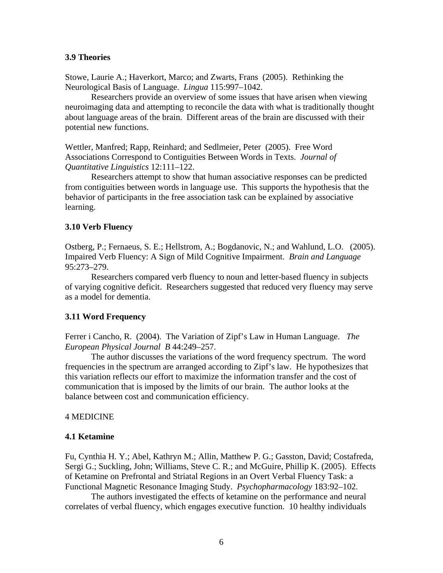### **3.9 Theories**

Stowe, Laurie A.; Haverkort, Marco; and Zwarts, Frans (2005). Rethinking the Neurological Basis of Language. *Lingua* 115:997–1042.

Researchers provide an overview of some issues that have arisen when viewing neuroimaging data and attempting to reconcile the data with what is traditionally thought about language areas of the brain. Different areas of the brain are discussed with their potential new functions.

Wettler, Manfred; Rapp, Reinhard; and Sedlmeier, Peter (2005). Free Word Associations Correspond to Contiguities Between Words in Texts. *Journal of Quantitative Linguistics* 12:111–122.

Researchers attempt to show that human associative responses can be predicted from contiguities between words in language use. This supports the hypothesis that the behavior of participants in the free association task can be explained by associative learning.

### **3.10 Verb Fluency**

Ostberg, P.; Fernaeus, S. E.; Hellstrom, A.; Bogdanovic, N.; and Wahlund, L.O. (2005). Impaired Verb Fluency: A Sign of Mild Cognitive Impairment. *Brain and Language* 95:273–279.

Researchers compared verb fluency to noun and letter-based fluency in subjects of varying cognitive deficit. Researchers suggested that reduced very fluency may serve as a model for dementia.

### **3.11 Word Frequency**

Ferrer i Cancho, R. (2004). The Variation of Zipf's Law in Human Language. *The European Physical Journal B* 44:249–257.

The author discusses the variations of the word frequency spectrum. The word frequencies in the spectrum are arranged according to Zipf's law. He hypothesizes that this variation reflects our effort to maximize the information transfer and the cost of communication that is imposed by the limits of our brain. The author looks at the balance between cost and communication efficiency.

### 4 MEDICINE

### **4.1 Ketamine**

Fu, Cynthia H. Y.; Abel, Kathryn M.; Allin, Matthew P. G.; Gasston, David; Costafreda, Sergi G.; Suckling, John; Williams, Steve C. R.; and McGuire, Phillip K. (2005). Effects of Ketamine on Prefrontal and Striatal Regions in an Overt Verbal Fluency Task: a Functional Magnetic Resonance Imaging Study. *Psychopharmacology* 183:92–102.

The authors investigated the effects of ketamine on the performance and neural correlates of verbal fluency, which engages executive function. 10 healthy individuals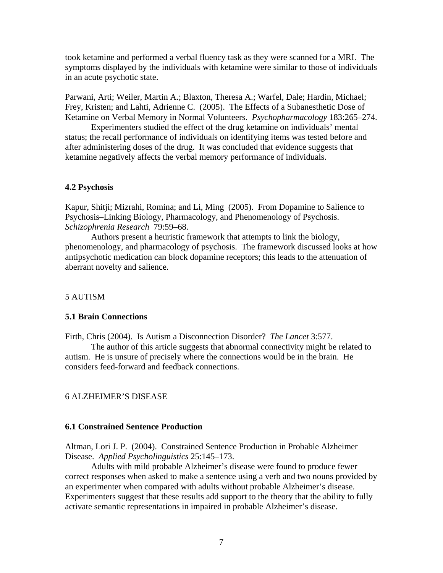took ketamine and performed a verbal fluency task as they were scanned for a MRI. The symptoms displayed by the individuals with ketamine were similar to those of individuals in an acute psychotic state.

Parwani, Arti; Weiler, Martin A.; Blaxton, Theresa A.; Warfel, Dale; Hardin, Michael; Frey, Kristen; and Lahti, Adrienne C. (2005). The Effects of a Subanesthetic Dose of Ketamine on Verbal Memory in Normal Volunteers. *Psychopharmacology* 183:265–274.

Experimenters studied the effect of the drug ketamine on individuals' mental status; the recall performance of individuals on identifying items was tested before and after administering doses of the drug. It was concluded that evidence suggests that ketamine negatively affects the verbal memory performance of individuals.

#### **4.2 Psychosis**

Kapur, Shitji; Mizrahi, Romina; and Li, Ming (2005). From Dopamine to Salience to Psychosis–Linking Biology, Pharmacology, and Phenomenology of Psychosis. *Schizophrenia Research* 79:59–68.

Authors present a heuristic framework that attempts to link the biology, phenomenology, and pharmacology of psychosis. The framework discussed looks at how antipsychotic medication can block dopamine receptors; this leads to the attenuation of aberrant novelty and salience.

#### 5 AUTISM

#### **5.1 Brain Connections**

Firth, Chris (2004). Is Autism a Disconnection Disorder? *The Lancet* 3:577.

The author of this article suggests that abnormal connectivity might be related to autism. He is unsure of precisely where the connections would be in the brain. He considers feed-forward and feedback connections.

### 6 ALZHEIMER'S DISEASE

### **6.1 Constrained Sentence Production**

Altman, Lori J. P. (2004). Constrained Sentence Production in Probable Alzheimer Disease. *Applied Psycholinguistics* 25:145–173.

Adults with mild probable Alzheimer's disease were found to produce fewer correct responses when asked to make a sentence using a verb and two nouns provided by an experimenter when compared with adults without probable Alzheimer's disease. Experimenters suggest that these results add support to the theory that the ability to fully activate semantic representations in impaired in probable Alzheimer's disease.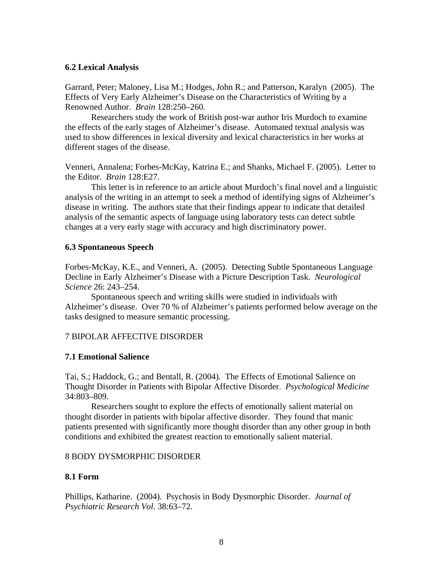### **6.2 Lexical Analysis**

Garrard, Peter; Maloney, Lisa M.; Hodges, John R.; and Patterson, Karalyn (2005). The Effects of Very Early Alzheimer's Disease on the Characteristics of Writing by a Renowned Author. *Brain* 128:250–260.

Researchers study the work of British post-war author Iris Murdoch to examine the effects of the early stages of Alzheimer's disease. Automated textual analysis was used to show differences in lexical diversity and lexical characteristics in her works at different stages of the disease.

Venneri, Annalena; Forbes-McKay, Katrina E.; and Shanks, Michael F. (2005). Letter to the Editor. *Brain* 128:E27.

This letter is in reference to an article about Murdoch's final novel and a linguistic analysis of the writing in an attempt to seek a method of identifying signs of Alzheimer's disease in writing. The authors state that their findings appear to indicate that detailed analysis of the semantic aspects of language using laboratory tests can detect subtle changes at a very early stage with accuracy and high discriminatory power.

# **6.3 Spontaneous Speech**

Forbes-McKay, K.E., and Venneri, A. (2005). Detecting Subtle Spontaneous Language Decline in Early Alzheimer's Disease with a Picture Description Task. *Neurological Science* 26: 243–254.

Spontaneous speech and writing skills were studied in individuals with Alzheimer's disease. Over 70 % of Alzheimer's patients performed below average on the tasks designed to measure semantic processing.

# 7 BIPOLAR AFFECTIVE DISORDER

# **7.1 Emotional Salience**

Tai, S.; Haddock, G.; and Bentall, R. (2004). The Effects of Emotional Salience on Thought Disorder in Patients with Bipolar Affective Disorder. *Psychological Medicine* 34:803–809.

Researchers sought to explore the effects of emotionally salient material on thought disorder in patients with bipolar affective disorder. They found that manic patients presented with significantly more thought disorder than any other group in both conditions and exhibited the greatest reaction to emotionally salient material.

### 8 BODY DYSMORPHIC DISORDER

# **8.1 Form**

Phillips, Katharine. (2004). Psychosis in Body Dysmorphic Disorder. *Journal of Psychiatric Research Vol*. 38:63–72.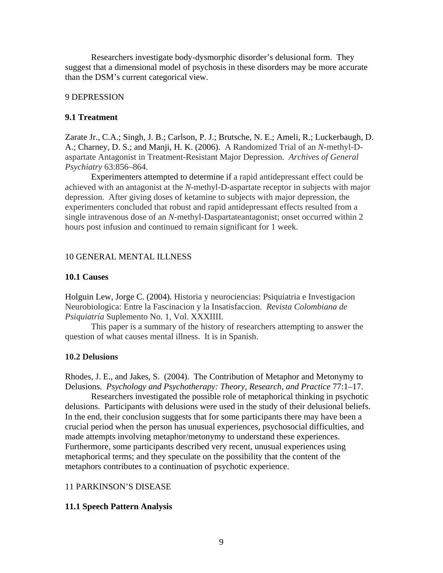Researchers investigate body-dysmorphic disorder's delusional form. They suggest that a dimensional model of psychosis in these disorders may be more accurate than the DSM's current categorical view.

#### 9 DEPRESSION

### **9.1 Treatment**

Zarate Jr., C.A.; Singh, J. B.; Carlson, P. J.; Brutsche, N. E.; Ameli, R.; Luckerbaugh, D. A.; Charney, D. S.; and Manji, H. K. (2006). A Randomized Trial of an *N*-methyl-Daspartate Antagonist in Treatment-Resistant Major Depression.*Archives of General Psychiatry* 63:856–864.

Experimenters attempted to determine if a rapid antidepressant effect could be achieved with an antagonist at the *N*-methyl-D-aspartate receptor in subjects with major depression. After giving doses of ketamine to subjects with major depression, the experimenters concluded that robust and rapid antidepressant effects resulted from a single intravenous dose of an *N*-methyl-Daspartateantagonist; onset occurred within 2 hours post infusion and continued to remain significant for 1 week.

#### 10 GENERAL MENTAL ILLNESS

#### **10.1 Causes**

Holguin Lew, Jorge C. (2004). Historia y neurociencias: Psiquiatria e Investigacion Neurobiologica: Entre la Fascinacion y la Insatisfaccion. *Revista Colombiana de Psiquiatría* Suplemento No. 1, Vol. XXXIIII.

This paper is a summary of the history of researchers attempting to answer the question of what causes mental illness. It is in Spanish.

#### **10.2 Delusions**

Rhodes, J. E., and Jakes, S. (2004). The Contribution of Metaphor and Metonymy to Delusions. *Psychology and Psychotherapy: Theory, Research, and Practice* 77:1–17.

Researchers investigated the possible role of metaphorical thinking in psychotic delusions. Participants with delusions were used in the study of their delusional beliefs. In the end, their conclusion suggests that for some participants there may have been a crucial period when the person has unusual experiences, psychosocial difficulties, and made attempts involving metaphor/metonymy to understand these experiences. Furthermore, some participants described very recent, unusual experiences using metaphorical terms; and they speculate on the possibility that the content of the metaphors contributes to a continuation of psychotic experience.

### 11 PARKINSON'S DISEASE

#### **11.1 Speech Pattern Analysis**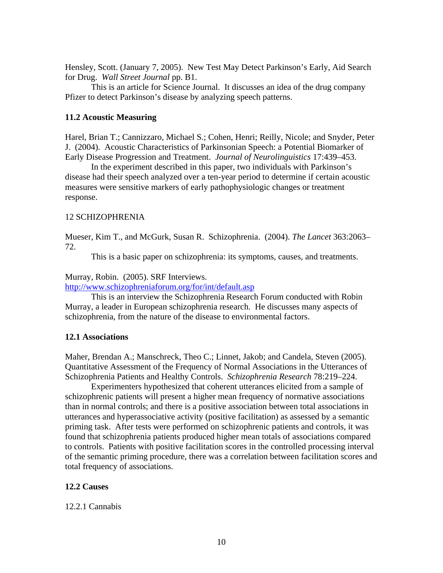Hensley, Scott. (January 7, 2005). New Test May Detect Parkinson's Early, Aid Search for Drug. *Wall Street Journal* pp. B1.

This is an article for Science Journal. It discusses an idea of the drug company Pfizer to detect Parkinson's disease by analyzing speech patterns.

### **11.2 Acoustic Measuring**

Harel, Brian T.; Cannizzaro, Michael S.; Cohen, Henri; Reilly, Nicole; and Snyder, Peter J. (2004). Acoustic Characteristics of Parkinsonian Speech: a Potential Biomarker of Early Disease Progression and Treatment. *Journal of Neurolinguistics* 17:439–453.

In the experiment described in this paper, two individuals with Parkinson's disease had their speech analyzed over a ten-year period to determine if certain acoustic measures were sensitive markers of early pathophysiologic changes or treatment response.

### 12 SCHIZOPHRENIA

Mueser, Kim T., and McGurk, Susan R. Schizophrenia. (2004). *The Lancet* 363:2063– 72.

This is a basic paper on schizophrenia: its symptoms, causes, and treatments.

#### Murray, Robin. (2005). SRF Interviews.

http://www.schizophreniaforum.org/for/int/default.asp

This is an interview the Schizophrenia Research Forum conducted with Robin Murray, a leader in European schizophrenia research. He discusses many aspects of schizophrenia, from the nature of the disease to environmental factors.

### **12.1 Associations**

Maher, Brendan A.; Manschreck, Theo C.; Linnet, Jakob; and Candela, Steven (2005). Quantitative Assessment of the Frequency of Normal Associations in the Utterances of Schizophrenia Patients and Healthy Controls. *Schizophrenia Research* 78:219–224.

Experimenters hypothesized that coherent utterances elicited from a sample of schizophrenic patients will present a higher mean frequency of normative associations than in normal controls; and there is a positive association between total associations in utterances and hyperassociative activity (positive facilitation) as assessed by a semantic priming task. After tests were performed on schizophrenic patients and controls, it was found that schizophrenia patients produced higher mean totals of associations compared to controls. Patients with positive facilitation scores in the controlled processing interval of the semantic priming procedure, there was a correlation between facilitation scores and total frequency of associations.

### **12.2 Causes**

#### 12.2.1 Cannabis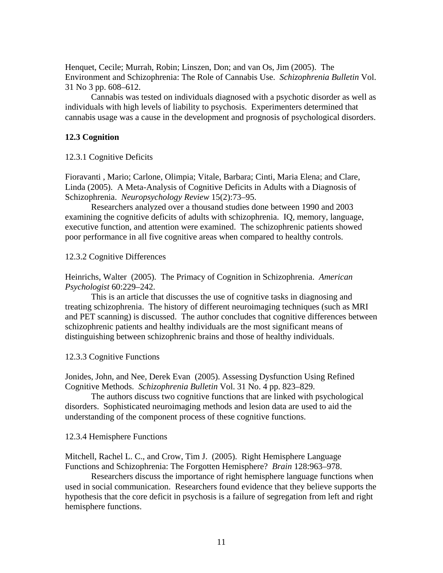Henquet, Cecile; Murrah, Robin; Linszen, Don; and van Os, Jim (2005). The Environment and Schizophrenia: The Role of Cannabis Use. *Schizophrenia Bulletin* Vol. 31 No 3 pp. 608–612.

Cannabis was tested on individuals diagnosed with a psychotic disorder as well as individuals with high levels of liability to psychosis. Experimenters determined that cannabis usage was a cause in the development and prognosis of psychological disorders.

### **12.3 Cognition**

#### 12.3.1 Cognitive Deficits

Fioravanti , Mario; Carlone, Olimpia; Vitale, Barbara; Cinti, Maria Elena; and Clare, Linda (2005). A Meta-Analysis of Cognitive Deficits in Adults with a Diagnosis of Schizophrenia. *Neuropsychology Review* 15(2):73–95.

Researchers analyzed over a thousand studies done between 1990 and 2003 examining the cognitive deficits of adults with schizophrenia. IQ, memory, language, executive function, and attention were examined. The schizophrenic patients showed poor performance in all five cognitive areas when compared to healthy controls.

12.3.2 Cognitive Differences

Heinrichs, Walter (2005). The Primacy of Cognition in Schizophrenia. *American Psychologist* 60:229–242.

This is an article that discusses the use of cognitive tasks in diagnosing and treating schizophrenia. The history of different neuroimaging techniques (such as MRI and PET scanning) is discussed. The author concludes that cognitive differences between schizophrenic patients and healthy individuals are the most significant means of distinguishing between schizophrenic brains and those of healthy individuals.

12.3.3 Cognitive Functions

Jonides, John, and Nee, Derek Evan (2005). Assessing Dysfunction Using Refined Cognitive Methods. *Schizophrenia Bulletin* Vol. 31 No. 4 pp. 823–829.

The authors discuss two cognitive functions that are linked with psychological disorders. Sophisticated neuroimaging methods and lesion data are used to aid the understanding of the component process of these cognitive functions.

#### 12.3.4 Hemisphere Functions

Mitchell, Rachel L. C., and Crow, Tim J. (2005). Right Hemisphere Language Functions and Schizophrenia: The Forgotten Hemisphere? *Brain* 128:963–978.

Researchers discuss the importance of right hemisphere language functions when used in social communication. Researchers found evidence that they believe supports the hypothesis that the core deficit in psychosis is a failure of segregation from left and right hemisphere functions.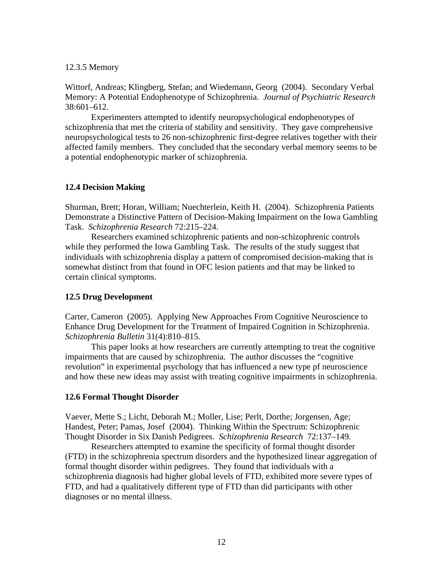### 12.3.5 Memory

Wittorf, Andreas; Klingberg, Stefan; and Wiedemann, Georg (2004). Secondary Verbal Memory: A Potential Endophenotype of Schizophrenia. *Journal of Psychiatric Research* 38:601–612.

Experimenters attempted to identify neuropsychological endophenotypes of schizophrenia that met the criteria of stability and sensitivity. They gave comprehensive neuropsychological tests to 26 non-schizophrenic first-degree relatives together with their affected family members. They concluded that the secondary verbal memory seems to be a potential endophenotypic marker of schizophrenia.

# **12.4 Decision Making**

Shurman, Brett; Horan, William; Nuechterlein, Keith H. (2004). Schizophrenia Patients Demonstrate a Distinctive Pattern of Decision-Making Impairment on the Iowa Gambling Task. *Schizophrenia Research* 72:215–224.

Researchers examined schizophrenic patients and non-schizophrenic controls while they performed the Iowa Gambling Task. The results of the study suggest that individuals with schizophrenia display a pattern of compromised decision-making that is somewhat distinct from that found in OFC lesion patients and that may be linked to certain clinical symptoms.

# **12.5 Drug Development**

Carter, Cameron (2005). Applying New Approaches From Cognitive Neuroscience to Enhance Drug Development for the Treatment of Impaired Cognition in Schizophrenia. *Schizophrenia Bulletin* 31(4):810–815.

This paper looks at how researchers are currently attempting to treat the cognitive impairments that are caused by schizophrenia. The author discusses the "cognitive revolution" in experimental psychology that has influenced a new type pf neuroscience and how these new ideas may assist with treating cognitive impairments in schizophrenia.

# **12.6 Formal Thought Disorder**

Vaever, Mette S.; Licht, Deborah M.; Moller, Lise; Perlt, Dorthe; Jorgensen, Age; Handest, Peter; Pamas, Josef (2004). Thinking Within the Spectrum: Schizophrenic Thought Disorder in Six Danish Pedigrees. *Schizophrenia Research* 72:137–149.

Researchers attempted to examine the specificity of formal thought disorder (FTD) in the schizophrenia spectrum disorders and the hypothesized linear aggregation of formal thought disorder within pedigrees. They found that individuals with a schizophrenia diagnosis had higher global levels of FTD, exhibited more severe types of FTD, and had a qualitatively different type of FTD than did participants with other diagnoses or no mental illness.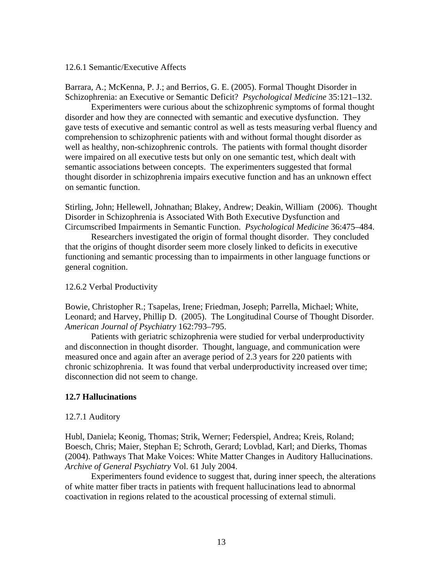### 12.6.1 Semantic/Executive Affects

Barrara, A.; McKenna, P. J.; and Berrios, G. E. (2005). Formal Thought Disorder in Schizophrenia: an Executive or Semantic Deficit? *Psychological Medicine* 35:121–132.

Experimenters were curious about the schizophrenic symptoms of formal thought disorder and how they are connected with semantic and executive dysfunction. They gave tests of executive and semantic control as well as tests measuring verbal fluency and comprehension to schizophrenic patients with and without formal thought disorder as well as healthy, non-schizophrenic controls. The patients with formal thought disorder were impaired on all executive tests but only on one semantic test, which dealt with semantic associations between concepts. The experimenters suggested that formal thought disorder in schizophrenia impairs executive function and has an unknown effect on semantic function.

Stirling, John; Hellewell, Johnathan; Blakey, Andrew; Deakin, William (2006). Thought Disorder in Schizophrenia is Associated With Both Executive Dysfunction and Circumscribed Impairments in Semantic Function. *Psychological Medicine* 36:475–484.

Researchers investigated the origin of formal thought disorder. They concluded that the origins of thought disorder seem more closely linked to deficits in executive functioning and semantic processing than to impairments in other language functions or general cognition.

#### 12.6.2 Verbal Productivity

Bowie, Christopher R.; Tsapelas, Irene; Friedman, Joseph; Parrella, Michael; White, Leonard; and Harvey, Phillip D. (2005). The Longitudinal Course of Thought Disorder. *American Journal of Psychiatry* 162:793–795.

Patients with geriatric schizophrenia were studied for verbal underproductivity and disconnection in thought disorder. Thought, language, and communication were measured once and again after an average period of 2.3 years for 220 patients with chronic schizophrenia. It was found that verbal underproductivity increased over time; disconnection did not seem to change.

### **12.7 Hallucinations**

#### 12.7.1 Auditory

Hubl, Daniela; Keonig, Thomas; Strik, Werner; Federspiel, Andrea; Kreis, Roland; Boesch, Chris; Maier, Stephan E; Schroth, Gerard; Lovblad, Karl; and Dierks, Thomas (2004). Pathways That Make Voices: White Matter Changes in Auditory Hallucinations. *Archive of General Psychiatry* Vol. 61 July 2004.

Experimenters found evidence to suggest that, during inner speech, the alterations of white matter fiber tracts in patients with frequent hallucinations lead to abnormal coactivation in regions related to the acoustical processing of external stimuli.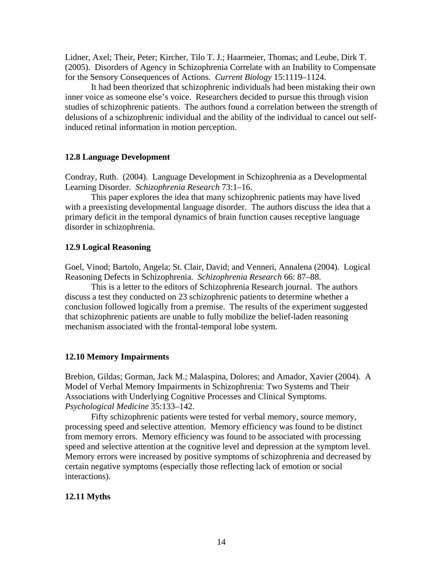Lidner, Axel; Their, Peter; Kircher, Tilo T. J.; Haarmeier, Thomas; and Leube, Dirk T. (2005). Disorders of Agency in Schizophrenia Correlate with an Inability to Compensate for the Sensory Consequences of Actions. *Current Biology* 15:1119–1124.

It had been theorized that schizophrenic individuals had been mistaking their own inner voice as someone else's voice. Researchers decided to pursue this through vision studies of schizophrenic patients. The authors found a correlation between the strength of delusions of a schizophrenic individual and the ability of the individual to cancel out selfinduced retinal information in motion perception.

### **12.8 Language Development**

Condray, Ruth. (2004). Language Development in Schizophrenia as a Developmental Learning Disorder. *Schizophrenia Research* 73:1–16.

This paper explores the idea that many schizophrenic patients may have lived with a preexisting developmental language disorder. The authors discuss the idea that a primary deficit in the temporal dynamics of brain function causes receptive language disorder in schizophrenia.

### **12.9 Logical Reasoning**

Goel, Vinod; Bartolo, Angela; St. Clair, David; and Venneri, Annalena (2004). Logical Reasoning Defects in Schizophrenia. *Schizophrenia Research* 66: 87–88.

This is a letter to the editors of Schizophrenia Research journal. The authors discuss a test they conducted on 23 schizophrenic patients to determine whether a conclusion followed logically from a premise. The results of the experiment suggested that schizophrenic patients are unable to fully mobilize the belief-laden reasoning mechanism associated with the frontal-temporal lobe system.

#### **12.10 Memory Impairments**

Brebion, Gildas; Gorman, Jack M.; Malaspina, Dolores; and Amador, Xavier (2004). A Model of Verbal Memory Impairments in Schizophrenia: Two Systems and Their Associations with Underlying Cognitive Processes and Clinical Symptoms. *Psychological Medicine* 35:133–142.

Fifty schizophrenic patients were tested for verbal memory, source memory, processing speed and selective attention. Memory efficiency was found to be distinct from memory errors. Memory efficiency was found to be associated with processing speed and selective attention at the cognitive level and depression at the symptom level. Memory errors were increased by positive symptoms of schizophrenia and decreased by certain negative symptoms (especially those reflecting lack of emotion or social interactions).

### **12.11 Myths**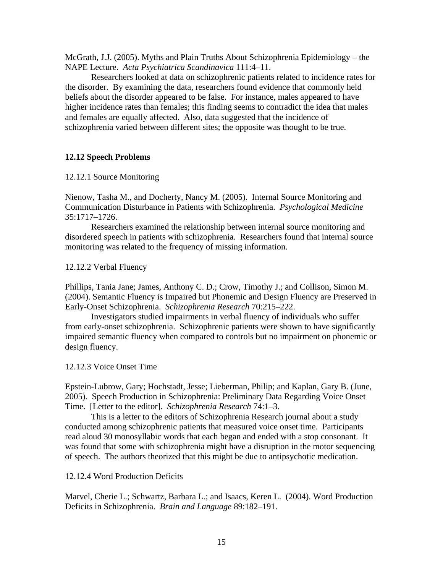McGrath, J.J. (2005). Myths and Plain Truths About Schizophrenia Epidemiology – the NAPE Lecture. *Acta Psychiatrica Scandinavica* 111:4–11.

Researchers looked at data on schizophrenic patients related to incidence rates for the disorder. By examining the data, researchers found evidence that commonly held beliefs about the disorder appeared to be false. For instance, males appeared to have higher incidence rates than females; this finding seems to contradict the idea that males and females are equally affected. Also, data suggested that the incidence of schizophrenia varied between different sites; the opposite was thought to be true.

### **12.12 Speech Problems**

12.12.1 Source Monitoring

Nienow, Tasha M., and Docherty, Nancy M. (2005). Internal Source Monitoring and Communication Disturbance in Patients with Schizophrenia. *Psychological Medicine* 35:1717–1726.

Researchers examined the relationship between internal source monitoring and disordered speech in patients with schizophrenia. Researchers found that internal source monitoring was related to the frequency of missing information.

12.12.2 Verbal Fluency

Phillips, Tania Jane; James, Anthony C. D.; Crow, Timothy J.; and Collison, Simon M. (2004). Semantic Fluency is Impaired but Phonemic and Design Fluency are Preserved in Early-Onset Schizophrenia. *Schizophrenia Research* 70:215–222.

Investigators studied impairments in verbal fluency of individuals who suffer from early-onset schizophrenia. Schizophrenic patients were shown to have significantly impaired semantic fluency when compared to controls but no impairment on phonemic or design fluency.

12.12.3 Voice Onset Time

Epstein-Lubrow, Gary; Hochstadt, Jesse; Lieberman, Philip; and Kaplan, Gary B. (June, 2005). Speech Production in Schizophrenia: Preliminary Data Regarding Voice Onset Time. [Letter to the editor]. *Schizophrenia Research* 74:1–3.

This is a letter to the editors of Schizophrenia Research journal about a study conducted among schizophrenic patients that measured voice onset time. Participants read aloud 30 monosyllabic words that each began and ended with a stop consonant. It was found that some with schizophrenia might have a disruption in the motor sequencing of speech. The authors theorized that this might be due to antipsychotic medication.

12.12.4 Word Production Deficits

Marvel, Cherie L.; Schwartz, Barbara L.; and Isaacs, Keren L. (2004). Word Production Deficits in Schizophrenia. *Brain and Language* 89:182–191.